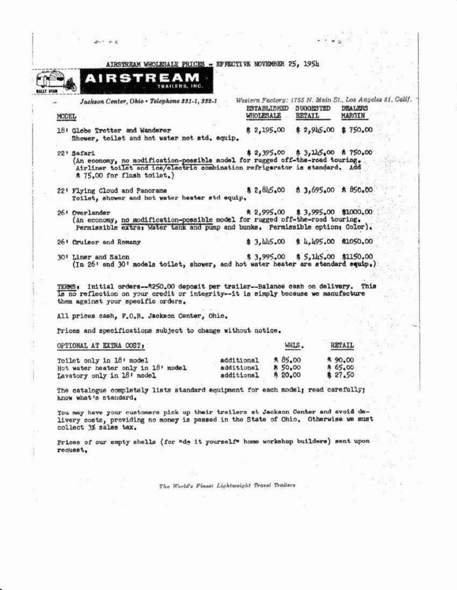| AIRSTREAM WHOLESALE PRICES - EFFECTIVE NOVEMBER 25, 1954                                                                                                                                                       |                                        |                                                     |                                                                                |  |
|----------------------------------------------------------------------------------------------------------------------------------------------------------------------------------------------------------------|----------------------------------------|-----------------------------------------------------|--------------------------------------------------------------------------------|--|
| AIRSTREAM<br>TRAILERS, INC.                                                                                                                                                                                    |                                        |                                                     |                                                                                |  |
| Jackson Center, Ohio . Telephone 331-1, 332-1<br>MODEL                                                                                                                                                         |                                        | ESTABLISHED SUGGESTED<br>WHOLESALE<br><b>RETAIL</b> | Western Factory: 1755 N. Main St., Los Angeles 81, Calif.<br>DEALERS<br>MARGIN |  |
| 18: Globe Trotter and Wanderer<br>Shower, toilet and hot water not std. equip.                                                                                                                                 |                                        | \$2,195.00                                          | \$2,945.00 \$750.00                                                            |  |
| 22' Safari<br>(An economy, no modification-possible model for rugged off-the-road touring.<br>Airliner toilet and ice/electric combination refrigerator is standard. Add<br>* 75.00 for flush toilet.)         |                                        | 2,395,00                                            | $$3,115,00$ $$750,00$                                                          |  |
| 22' Flying Cloud and Panorama<br>Toilet, shower and hot water heater std equip.                                                                                                                                |                                        |                                                     | \$2,845.00 \$3,695.00 \$850.00                                                 |  |
| 26! Overlander<br>(An economy, no modification-possible model for rugged off-the-road touring.<br>Permissible extra, Water tank and pump and bunks. Permissible option, Color).                                |                                        | \$2,995.00                                          | \$3,995,00 \$1000,00                                                           |  |
| 26 <sup>1</sup> Cruiser and Romany                                                                                                                                                                             |                                        |                                                     | \$3,445.00 \$4,495.00 \$1050.00                                                |  |
| 30' Liner and Salon<br>(In 26' and 30' models toilet, shower, and hot water heater are standard equip.)                                                                                                        |                                        |                                                     | \$3,995.00 \$5,145.00 \$1150.00                                                |  |
| TERMS: Initial orders--\$250.00 deposit per trailer--Balance cash on delivery. This<br>is no reflection on your credit or integrity--it is simply because we manufacture<br>them against your specific orders. |                                        |                                                     |                                                                                |  |
| All prices cash, F.O.B. Jackson Center, Ohio.                                                                                                                                                                  |                                        |                                                     |                                                                                |  |
| Prices and specifications subject to change without notice.                                                                                                                                                    |                                        |                                                     |                                                                                |  |
| OPTIONAL AT EXTRA COST,                                                                                                                                                                                        |                                        | WHIS.                                               | RETAIL                                                                         |  |
| Toilet only in 18' model<br>Hot water heater only in 18' model<br>Lavatory only in 18' model                                                                                                                   | additional<br>additional<br>additional | \$85.00<br>\$ 50,00<br><b>希 20.00</b>               | * 90.00<br>* 65.00<br>\$27.50                                                  |  |
| The catalogue completely lists standard equipment for each model; read carefully;<br>know what's standard.                                                                                                     |                                        |                                                     |                                                                                |  |
| You may have your customers pick up their trailers at Jackson Center and avoid de-<br>livery costs, providing no money is passed in the State of Ohio. Otherwise we must                                       |                                        |                                                     |                                                                                |  |

and any

The World's Finest Lightweight Travel Trailers

 $\mathcal{A}_{\mathcal{S}}$ 

 $\begin{array}{c} \mathbb{P}^1 \\ \frac{1}{2\sqrt{2}}\mathbb{P}^1 \to \mathbb{P}^1 \end{array}$ 

 $\ddot{a}$ 

ov a

 $\mathcal{Z}_1$